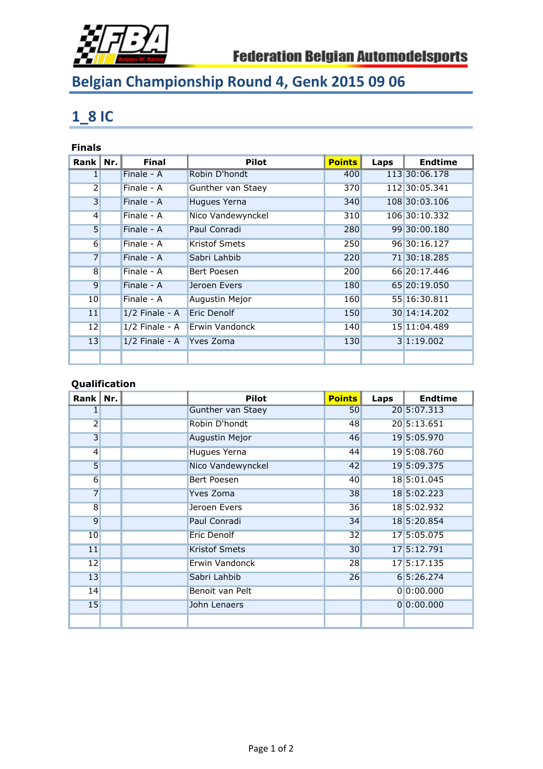

# **Belgian Championship Round 4, Genk 2015 09 06**

### **1\_8 IC**

#### **Finals**

| Rank $\ $ Nr.    | <b>Final</b>             | <b>Pilot</b>         | <b>Points</b> | Laps | <b>Endtime</b> |
|------------------|--------------------------|----------------------|---------------|------|----------------|
| 1 <sup>1</sup>   | Finale - A               | Robin D'hondt        | 400           |      | 113 30:06.178  |
| 2                | Finale - A               | Gunther van Staey    | 370           |      | 112 30:05.341  |
| $\overline{3}$   | Finale - A               | Hugues Yerna         | 340           |      | 108 30:03.106  |
| $\left 4\right $ | Finale - A               | Nico Vandewynckel    | 310           |      | 106 30:10.332  |
| 5 <sub>l</sub>   | Finale - A               | Paul Conradi         | 280           |      | 99 30:00.180   |
| $6 \overline{6}$ | $Finale - A$             | <b>Kristof Smets</b> | 250           |      | 96 30:16.127   |
| $\overline{7}$   | Finale - A               | Sabri Lahbib         | 220           |      | 71 30:18.285   |
| $\overline{8}$   | $Finale - A$             | Bert Poesen          | 200           |      | 66 20:17.446   |
| $\overline{9}$   | Finale - A               | Jeroen Evers         | 180           |      | 65 20:19.050   |
| 10               | Finale - A               | Augustin Mejor       | 160           |      | 55 16:30.811   |
| 11               | $1/2$ Finale - A         | Eric Denolf          | 150           |      | 30 14:14.202   |
| 12               | $1/2$ Finale - A         | Erwin Vandonck       | 140           |      | 15 11:04.489   |
| 13               | 1/2 Finale - A Yves Zoma |                      | 130           |      | 3 1:19.002     |
|                  |                          |                      |               |      |                |

### **Qualification**

| Rank            | Nr. | <b>Pilot</b>             | <b>Points</b> | Laps | <b>Endtime</b> |
|-----------------|-----|--------------------------|---------------|------|----------------|
|                 |     | <b>Gunther van Staey</b> | 50            |      | 20 5:07.313    |
| $\overline{2}$  |     | Robin D'hondt            | 48            |      | 20 5:13.651    |
| $\overline{3}$  |     | <b>Augustin Mejor</b>    | 46            |      | 19 5:05.970    |
| $\overline{4}$  |     | Hugues Yerna             | 44            |      | 19 5:08.760    |
| 5               |     | Nico Vandewynckel        | 42            |      | 19 5:09.375    |
| $6 \overline{}$ |     | <b>Bert Poesen</b>       | 40            |      | 18 5:01.045    |
| $\overline{7}$  |     | Yves Zoma                | 38            |      | 18 5:02.223    |
| $\overline{8}$  |     | Jeroen Evers             | 36            |      | 18 5:02.932    |
| $\overline{9}$  |     | Paul Conradi             | 34            |      | 18 5:20.854    |
| 10              |     | Eric Denolf              | 32            |      | 17 5:05.075    |
| 11              |     | <b>Kristof Smets</b>     | 30            |      | 17 5:12.791    |
| 12              |     | Erwin Vandonck           | 28            |      | 17 5:17.135    |
| 13              |     | Sabri Lahbib             | 26            |      | 6 5:26.274     |
| 14              |     | Benoit van Pelt          |               |      | 0 0:00.000     |
| 15              |     | John Lenaers             |               |      | 0 0:00.000     |
|                 |     |                          |               |      |                |